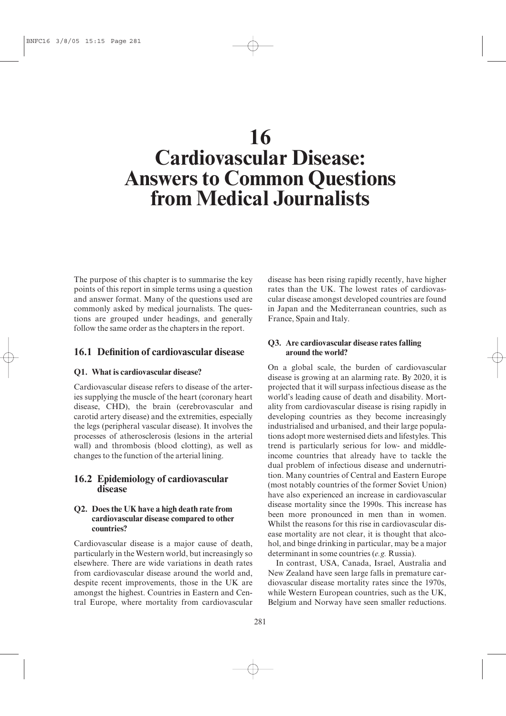# **16 Cardiovascular Disease: Answers to Common Questions from Medical Journalists**

The purpose of this chapter is to summarise the key points of this report in simple terms using a question and answer format. Many of the questions used are commonly asked by medical journalists. The questions are grouped under headings, and generally follow the same order as the chapters in the report.

# **16.1 Definition of cardiovascular disease**

## **Q1. What is cardiovascular disease?**

Cardiovascular disease refers to disease of the arteries supplying the muscle of the heart (coronary heart disease, CHD), the brain (cerebrovascular and carotid artery disease) and the extremities, especially the legs (peripheral vascular disease). It involves the processes of atherosclerosis (lesions in the arterial wall) and thrombosis (blood clotting), as well as changes to the function of the arterial lining.

# **16.2 Epidemiology of cardiovascular disease**

## **Q2. Does the UK have a high death rate from cardiovascular disease compared to other countries?**

Cardiovascular disease is a major cause of death, particularly in the Western world, but increasingly so elsewhere. There are wide variations in death rates from cardiovascular disease around the world and, despite recent improvements, those in the UK are amongst the highest. Countries in Eastern and Central Europe, where mortality from cardiovascular disease has been rising rapidly recently, have higher rates than the UK. The lowest rates of cardiovascular disease amongst developed countries are found in Japan and the Mediterranean countries, such as France, Spain and Italy.

# **Q3. Are cardiovascular disease rates falling around the world?**

On a global scale, the burden of cardiovascular disease is growing at an alarming rate. By 2020, it is projected that it will surpass infectious disease as the world's leading cause of death and disability. Mortality from cardiovascular disease is rising rapidly in developing countries as they become increasingly industrialised and urbanised, and their large populations adopt more westernised diets and lifestyles. This trend is particularly serious for low- and middleincome countries that already have to tackle the dual problem of infectious disease and undernutrition. Many countries of Central and Eastern Europe (most notably countries of the former Soviet Union) have also experienced an increase in cardiovascular disease mortality since the 1990s. This increase has been more pronounced in men than in women. Whilst the reasons for this rise in cardiovascular disease mortality are not clear, it is thought that alcohol, and binge drinking in particular, may be a major determinant in some countries (*e.g.* Russia).

In contrast, USA, Canada, Israel, Australia and New Zealand have seen large falls in premature cardiovascular disease mortality rates since the 1970s, while Western European countries, such as the UK, Belgium and Norway have seen smaller reductions.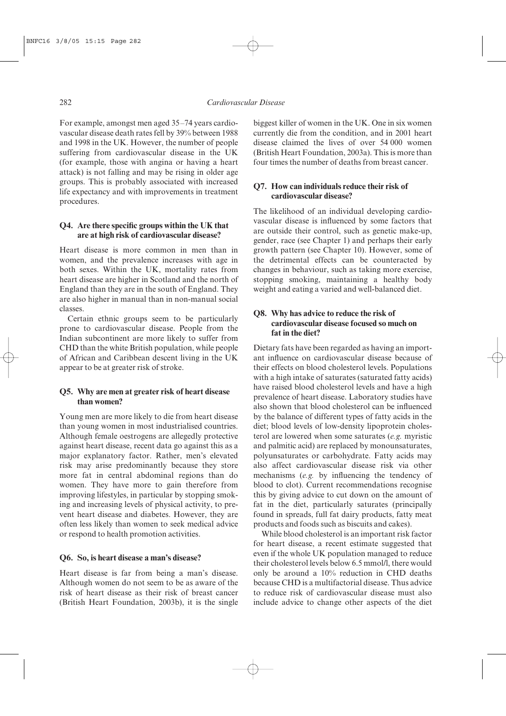For example, amongst men aged 35–74 years cardiovascular disease death rates fell by 39% between 1988 and 1998 in the UK. However, the number of people suffering from cardiovascular disease in the UK (for example, those with angina or having a heart attack) is not falling and may be rising in older age groups. This is probably associated with increased life expectancy and with improvements in treatment procedures.

#### **Q4. Are there specific groups within the UK that are at high risk of cardiovascular disease?**

Heart disease is more common in men than in women, and the prevalence increases with age in both sexes. Within the UK, mortality rates from heart disease are higher in Scotland and the north of England than they are in the south of England. They are also higher in manual than in non-manual social classes.

Certain ethnic groups seem to be particularly prone to cardiovascular disease. People from the Indian subcontinent are more likely to suffer from CHD than the white British population, while people of African and Caribbean descent living in the UK appear to be at greater risk of stroke.

## **Q5. Why are men at greater risk of heart disease than women?**

Young men are more likely to die from heart disease than young women in most industrialised countries. Although female oestrogens are allegedly protective against heart disease, recent data go against this as a major explanatory factor. Rather, men's elevated risk may arise predominantly because they store more fat in central abdominal regions than do women. They have more to gain therefore from improving lifestyles, in particular by stopping smoking and increasing levels of physical activity, to prevent heart disease and diabetes. However, they are often less likely than women to seek medical advice or respond to health promotion activities.

#### **Q6. So, is heart disease a man's disease?**

Heart disease is far from being a man's disease. Although women do not seem to be as aware of the risk of heart disease as their risk of breast cancer (British Heart Foundation, 2003b), it is the single

biggest killer of women in the UK. One in six women currently die from the condition, and in 2001 heart disease claimed the lives of over 54 000 women (British Heart Foundation, 2003a). This is more than four times the number of deaths from breast cancer.

# **Q7. How can individuals reduce their risk of cardiovascular disease?**

The likelihood of an individual developing cardiovascular disease is influenced by some factors that are outside their control, such as genetic make-up, gender, race (see Chapter 1) and perhaps their early growth pattern (see Chapter 10). However, some of the detrimental effects can be counteracted by changes in behaviour, such as taking more exercise, stopping smoking, maintaining a healthy body weight and eating a varied and well-balanced diet.

# **Q8. Why has advice to reduce the risk of cardiovascular disease focused so much on fat in the diet?**

Dietary fats have been regarded as having an important influence on cardiovascular disease because of their effects on blood cholesterol levels. Populations with a high intake of saturates (saturated fatty acids) have raised blood cholesterol levels and have a high prevalence of heart disease. Laboratory studies have also shown that blood cholesterol can be influenced by the balance of different types of fatty acids in the diet; blood levels of low-density lipoprotein cholesterol are lowered when some saturates (*e.g.* myristic and palmitic acid) are replaced by monounsaturates, polyunsaturates or carbohydrate. Fatty acids may also affect cardiovascular disease risk via other mechanisms (*e.g.* by influencing the tendency of blood to clot). Current recommendations recognise this by giving advice to cut down on the amount of fat in the diet, particularly saturates (principally found in spreads, full fat dairy products, fatty meat products and foods such as biscuits and cakes).

While blood cholesterol is an important risk factor for heart disease, a recent estimate suggested that even if the whole UK population managed to reduce their cholesterol levels below 6.5 mmol/l, there would only be around a 10% reduction in CHD deaths because CHD is a multifactorial disease. Thus advice to reduce risk of cardiovascular disease must also include advice to change other aspects of the diet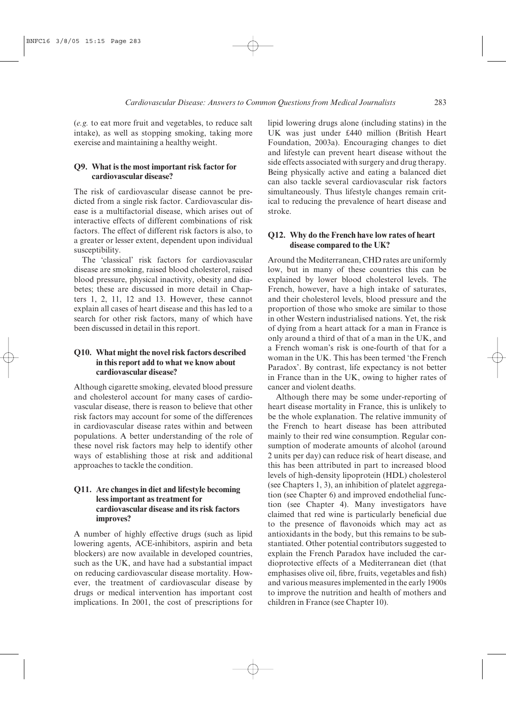(*e.g.* to eat more fruit and vegetables, to reduce salt intake), as well as stopping smoking, taking more exercise and maintaining a healthy weight.

#### **Q9. What is the most important risk factor for cardiovascular disease?**

The risk of cardiovascular disease cannot be predicted from a single risk factor. Cardiovascular disease is a multifactorial disease, which arises out of interactive effects of different combinations of risk factors. The effect of different risk factors is also, to a greater or lesser extent, dependent upon individual susceptibility.

The 'classical' risk factors for cardiovascular disease are smoking, raised blood cholesterol, raised blood pressure, physical inactivity, obesity and diabetes; these are discussed in more detail in Chapters 1, 2, 11, 12 and 13. However, these cannot explain all cases of heart disease and this has led to a search for other risk factors, many of which have been discussed in detail in this report.

# **Q10. What might the novel risk factors described in this report add to what we know about cardiovascular disease?**

Although cigarette smoking, elevated blood pressure and cholesterol account for many cases of cardiovascular disease, there is reason to believe that other risk factors may account for some of the differences in cardiovascular disease rates within and between populations. A better understanding of the role of these novel risk factors may help to identify other ways of establishing those at risk and additional approaches to tackle the condition.

## **Q11. Are changes in diet and lifestyle becoming less important as treatment for cardiovascular disease and its risk factors improves?**

A number of highly effective drugs (such as lipid lowering agents, ACE-inhibitors, aspirin and beta blockers) are now available in developed countries, such as the UK, and have had a substantial impact on reducing cardiovascular disease mortality. However, the treatment of cardiovascular disease by drugs or medical intervention has important cost implications. In 2001, the cost of prescriptions for

lipid lowering drugs alone (including statins) in the UK was just under £440 million (British Heart Foundation, 2003a). Encouraging changes to diet and lifestyle can prevent heart disease without the side effects associated with surgery and drug therapy. Being physically active and eating a balanced diet can also tackle several cardiovascular risk factors simultaneously. Thus lifestyle changes remain critical to reducing the prevalence of heart disease and stroke.

## **Q12. Why do the French have low rates of heart disease compared to the UK?**

Around the Mediterranean, CHD rates are uniformly low, but in many of these countries this can be explained by lower blood cholesterol levels. The French, however, have a high intake of saturates, and their cholesterol levels, blood pressure and the proportion of those who smoke are similar to those in other Western industrialised nations. Yet, the risk of dying from a heart attack for a man in France is only around a third of that of a man in the UK, and a French woman's risk is one-fourth of that for a woman in the UK. This has been termed 'the French Paradox'. By contrast, life expectancy is not better in France than in the UK, owing to higher rates of cancer and violent deaths.

Although there may be some under-reporting of heart disease mortality in France, this is unlikely to be the whole explanation. The relative immunity of the French to heart disease has been attributed mainly to their red wine consumption. Regular consumption of moderate amounts of alcohol (around 2 units per day) can reduce risk of heart disease, and this has been attributed in part to increased blood levels of high-density lipoprotein (HDL) cholesterol (see Chapters 1, 3), an inhibition of platelet aggregation (see Chapter 6) and improved endothelial function (see Chapter 4). Many investigators have claimed that red wine is particularly beneficial due to the presence of flavonoids which may act as antioxidants in the body, but this remains to be substantiated. Other potential contributors suggested to explain the French Paradox have included the cardioprotective effects of a Mediterranean diet (that emphasises olive oil, fibre, fruits, vegetables and fish) and various measures implemented in the early 1900s to improve the nutrition and health of mothers and children in France (see Chapter 10).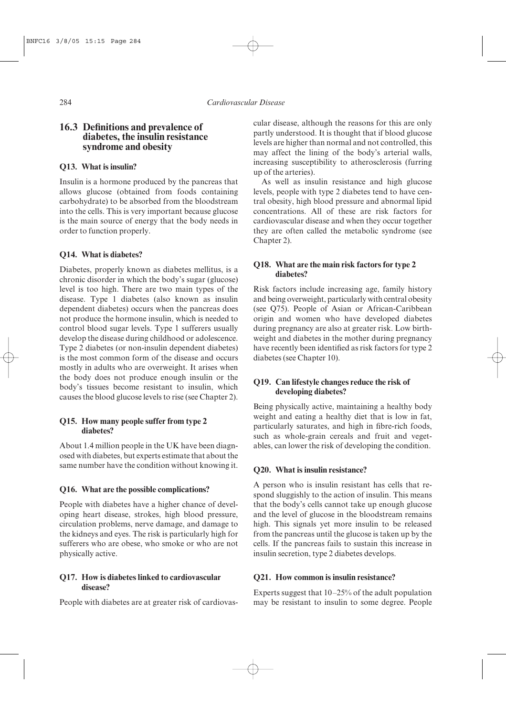# **16.3 Definitions and prevalence of diabetes, the insulin resistance syndrome and obesity**

## **Q13. What is insulin?**

Insulin is a hormone produced by the pancreas that allows glucose (obtained from foods containing carbohydrate) to be absorbed from the bloodstream into the cells. This is very important because glucose is the main source of energy that the body needs in order to function properly.

# **Q14. What is diabetes?**

Diabetes, properly known as diabetes mellitus, is a chronic disorder in which the body's sugar (glucose) level is too high. There are two main types of the disease. Type 1 diabetes (also known as insulin dependent diabetes) occurs when the pancreas does not produce the hormone insulin, which is needed to control blood sugar levels. Type 1 sufferers usually develop the disease during childhood or adolescence. Type 2 diabetes (or non-insulin dependent diabetes) is the most common form of the disease and occurs mostly in adults who are overweight. It arises when the body does not produce enough insulin or the body's tissues become resistant to insulin, which causes the blood glucose levels to rise (see Chapter 2).

## **Q15. How many people suffer from type 2 diabetes?**

About 1.4 million people in the UK have been diagnosed with diabetes, but experts estimate that about the same number have the condition without knowing it.

## **Q16. What are the possible complications?**

People with diabetes have a higher chance of developing heart disease, strokes, high blood pressure, circulation problems, nerve damage, and damage to the kidneys and eyes. The risk is particularly high for sufferers who are obese, who smoke or who are not physically active.

## **Q17. How is diabetes linked to cardiovascular disease?**

People with diabetes are at greater risk of cardiovas-

cular disease, although the reasons for this are only partly understood. It is thought that if blood glucose levels are higher than normal and not controlled, this may affect the lining of the body's arterial walls, increasing susceptibility to atherosclerosis (furring up of the arteries).

As well as insulin resistance and high glucose levels, people with type 2 diabetes tend to have central obesity, high blood pressure and abnormal lipid concentrations. All of these are risk factors for cardiovascular disease and when they occur together they are often called the metabolic syndrome (see Chapter 2).

# **Q18. What are the main risk factors for type 2 diabetes?**

Risk factors include increasing age, family history and being overweight, particularly with central obesity (see Q75). People of Asian or African-Caribbean origin and women who have developed diabetes during pregnancy are also at greater risk. Low birthweight and diabetes in the mother during pregnancy have recently been identified as risk factors for type 2 diabetes (see Chapter 10).

# **Q19. Can lifestyle changes reduce the risk of developing diabetes?**

Being physically active, maintaining a healthy body weight and eating a healthy diet that is low in fat, particularly saturates, and high in fibre-rich foods, such as whole-grain cereals and fruit and vegetables, can lower the risk of developing the condition.

## **Q20. What is insulin resistance?**

A person who is insulin resistant has cells that respond sluggishly to the action of insulin. This means that the body's cells cannot take up enough glucose and the level of glucose in the bloodstream remains high. This signals yet more insulin to be released from the pancreas until the glucose is taken up by the cells. If the pancreas fails to sustain this increase in insulin secretion, type 2 diabetes develops.

## **Q21. How common is insulin resistance?**

Experts suggest that 10–25% of the adult population may be resistant to insulin to some degree. People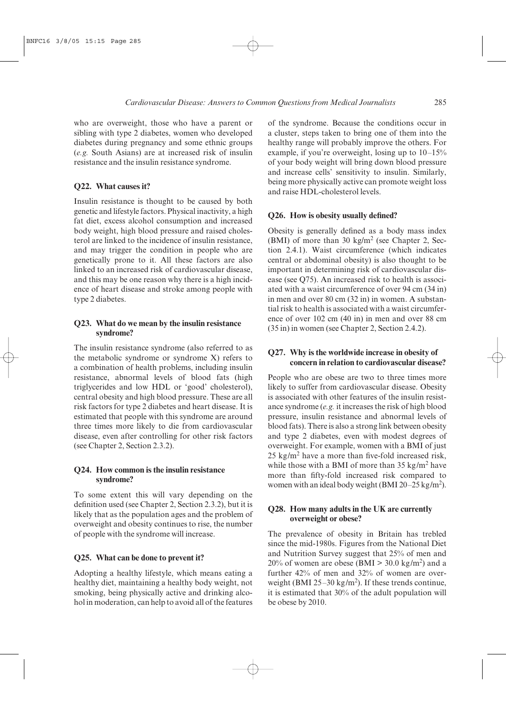who are overweight, those who have a parent or sibling with type 2 diabetes, women who developed diabetes during pregnancy and some ethnic groups (*e.g.* South Asians) are at increased risk of insulin resistance and the insulin resistance syndrome.

#### **Q22. What causes it?**

Insulin resistance is thought to be caused by both genetic and lifestyle factors. Physical inactivity, a high fat diet, excess alcohol consumption and increased body weight, high blood pressure and raised cholesterol are linked to the incidence of insulin resistance, and may trigger the condition in people who are genetically prone to it. All these factors are also linked to an increased risk of cardiovascular disease, and this may be one reason why there is a high incidence of heart disease and stroke among people with type 2 diabetes.

#### **Q23. What do we mean by the insulin resistance syndrome?**

The insulin resistance syndrome (also referred to as the metabolic syndrome or syndrome X) refers to a combination of health problems, including insulin resistance, abnormal levels of blood fats (high triglycerides and low HDL or 'good' cholesterol), central obesity and high blood pressure. These are all risk factors for type 2 diabetes and heart disease. It is estimated that people with this syndrome are around three times more likely to die from cardiovascular disease, even after controlling for other risk factors (see Chapter 2, Section 2.3.2).

#### **Q24. How common is the insulin resistance syndrome?**

To some extent this will vary depending on the definition used (see Chapter 2, Section 2.3.2), but it is likely that as the population ages and the problem of overweight and obesity continues to rise, the number of people with the syndrome will increase.

#### **Q25. What can be done to prevent it?**

Adopting a healthy lifestyle, which means eating a healthy diet, maintaining a healthy body weight, not smoking, being physically active and drinking alcohol in moderation, can help to avoid all of the features of the syndrome. Because the conditions occur in a cluster, steps taken to bring one of them into the healthy range will probably improve the others. For example, if you're overweight, losing up to 10–15% of your body weight will bring down blood pressure and increase cells' sensitivity to insulin. Similarly, being more physically active can promote weight loss and raise HDL-cholesterol levels.

#### **Q26. How is obesity usually defined?**

Obesity is generally defined as a body mass index (BMI) of more than 30 kg/m<sup>2</sup> (see Chapter 2, Section 2.4.1). Waist circumference (which indicates central or abdominal obesity) is also thought to be important in determining risk of cardiovascular disease (see Q75). An increased risk to health is associated with a waist circumference of over 94 cm (34 in) in men and over 80 cm (32 in) in women. A substantial risk to health is associated with a waist circumference of over 102 cm (40 in) in men and over 88 cm (35 in) in women (see Chapter 2, Section 2.4.2).

#### **Q27. Why is the worldwide increase in obesity of concern in relation to cardiovascular disease?**

People who are obese are two to three times more likely to suffer from cardiovascular disease. Obesity is associated with other features of the insulin resistance syndrome (*e.g.* it increases the risk of high blood pressure, insulin resistance and abnormal levels of blood fats). There is also a strong link between obesity and type 2 diabetes, even with modest degrees of overweight. For example, women with a BMI of just 25 kg/m<sup>2</sup> have a more than five-fold increased risk, while those with a BMI of more than  $35 \text{ kg/m}^2$  have more than fifty-fold increased risk compared to women with an ideal body weight (BMI 20 $-25$  kg/m<sup>2</sup>).

## **Q28. How many adults in the UK are currently overweight or obese?**

The prevalence of obesity in Britain has trebled since the mid-1980s. Figures from the National Diet and Nutrition Survey suggest that 25% of men and 20% of women are obese (BMI  $>$  30.0 kg/m<sup>2</sup>) and a further 42% of men and 32% of women are overweight (BMI 25-30 kg/m<sup>2</sup>). If these trends continue, it is estimated that 30% of the adult population will be obese by 2010.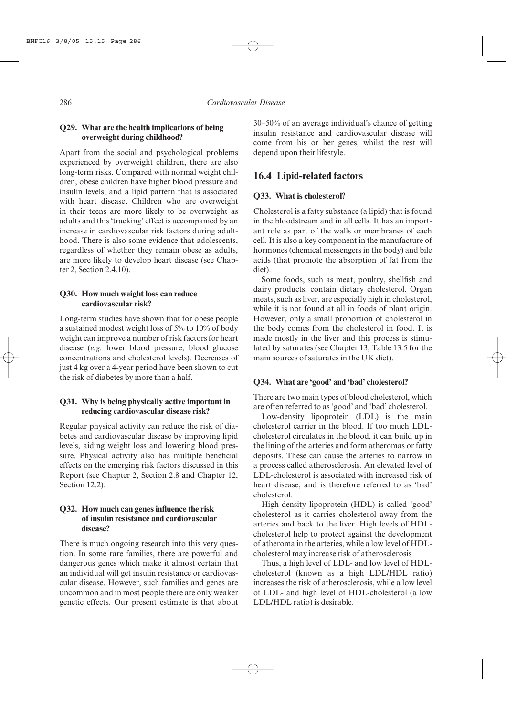# **Q29. What are the health implications of being overweight during childhood?**

Apart from the social and psychological problems experienced by overweight children, there are also long-term risks. Compared with normal weight children, obese children have higher blood pressure and insulin levels, and a lipid pattern that is associated with heart disease. Children who are overweight in their teens are more likely to be overweight as adults and this 'tracking' effect is accompanied by an increase in cardiovascular risk factors during adulthood. There is also some evidence that adolescents, regardless of whether they remain obese as adults, are more likely to develop heart disease (see Chapter 2, Section 2.4.10).

#### **Q30. How much weight loss can reduce cardiovascular risk?**

Long-term studies have shown that for obese people a sustained modest weight loss of 5% to 10% of body weight can improve a number of risk factors for heart disease (*e.g.* lower blood pressure, blood glucose concentrations and cholesterol levels). Decreases of just 4 kg over a 4-year period have been shown to cut the risk of diabetes by more than a half.

# **Q31. Why is being physically active important in reducing cardiovascular disease risk?**

Regular physical activity can reduce the risk of diabetes and cardiovascular disease by improving lipid levels, aiding weight loss and lowering blood pressure. Physical activity also has multiple beneficial effects on the emerging risk factors discussed in this Report (see Chapter 2, Section 2.8 and Chapter 12, Section 12.2).

## **Q32. How much can genes influence the risk of insulin resistance and cardiovascular disease?**

There is much ongoing research into this very question. In some rare families, there are powerful and dangerous genes which make it almost certain that an individual will get insulin resistance or cardiovascular disease. However, such families and genes are uncommon and in most people there are only weaker genetic effects. Our present estimate is that about

30–50% of an average individual's chance of getting insulin resistance and cardiovascular disease will come from his or her genes, whilst the rest will depend upon their lifestyle.

# **16.4 Lipid-related factors**

#### **Q33. What is cholesterol?**

Cholesterol is a fatty substance (a lipid) that is found in the bloodstream and in all cells. It has an important role as part of the walls or membranes of each cell. It is also a key component in the manufacture of hormones (chemical messengers in the body) and bile acids (that promote the absorption of fat from the diet).

Some foods, such as meat, poultry, shellfish and dairy products, contain dietary cholesterol. Organ meats, such as liver, are especially high in cholesterol, while it is not found at all in foods of plant origin. However, only a small proportion of cholesterol in the body comes from the cholesterol in food. It is made mostly in the liver and this process is stimulated by saturates (see Chapter 13, Table 13.5 for the main sources of saturates in the UK diet).

#### **Q34. What are 'good' and 'bad' cholesterol?**

There are two main types of blood cholesterol, which are often referred to as 'good' and 'bad' cholesterol.

Low-density lipoprotein (LDL) is the main cholesterol carrier in the blood. If too much LDLcholesterol circulates in the blood, it can build up in the lining of the arteries and form atheromas or fatty deposits. These can cause the arteries to narrow in a process called atherosclerosis. An elevated level of LDL-cholesterol is associated with increased risk of heart disease, and is therefore referred to as 'bad' cholesterol.

High-density lipoprotein (HDL) is called 'good' cholesterol as it carries cholesterol away from the arteries and back to the liver. High levels of HDLcholesterol help to protect against the development of atheroma in the arteries, while a low level of HDLcholesterol may increase risk of atherosclerosis

Thus, a high level of LDL- and low level of HDLcholesterol (known as a high LDL/HDL ratio) increases the risk of atherosclerosis, while a low level of LDL- and high level of HDL-cholesterol (a low LDL/HDL ratio) is desirable.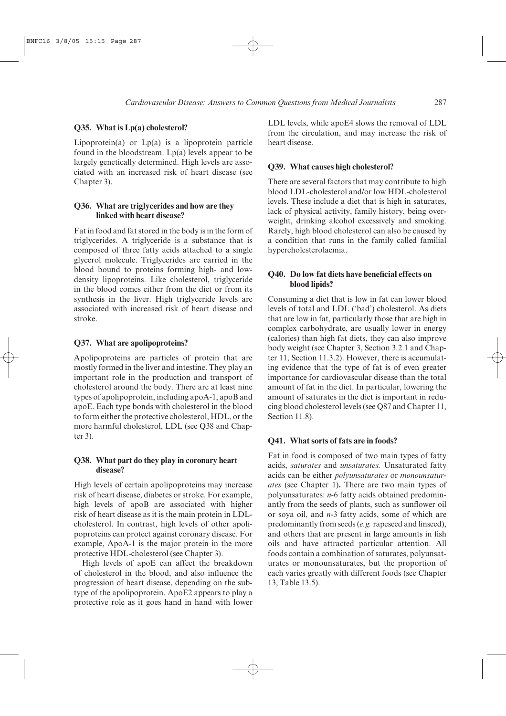#### **Q35. What is Lp(a) cholesterol?**

Lipoprotein(a) or  $Lp(a)$  is a lipoprotein particle found in the bloodstream.  $Lp(a)$  levels appear to be largely genetically determined. High levels are associated with an increased risk of heart disease (see Chapter 3).

#### **Q36. What are triglycerides and how are they linked with heart disease?**

Fat in food and fat stored in the body is in the form of triglycerides. A triglyceride is a substance that is composed of three fatty acids attached to a single glycerol molecule. Triglycerides are carried in the blood bound to proteins forming high- and lowdensity lipoproteins. Like cholesterol, triglyceride in the blood comes either from the diet or from its synthesis in the liver. High triglyceride levels are associated with increased risk of heart disease and stroke.

#### **Q37. What are apolipoproteins?**

Apolipoproteins are particles of protein that are mostly formed in the liver and intestine. They play an important role in the production and transport of cholesterol around the body. There are at least nine types of apolipoprotein, including apoA-1, apoB and apoE. Each type bonds with cholesterol in the blood to form either the protective cholesterol, HDL, or the more harmful cholesterol, LDL (see Q38 and Chapter 3).

#### **Q38. What part do they play in coronary heart disease?**

High levels of certain apolipoproteins may increase risk of heart disease, diabetes or stroke. For example, high levels of apoB are associated with higher risk of heart disease as it is the main protein in LDLcholesterol. In contrast, high levels of other apolipoproteins can protect against coronary disease. For example, ApoA-1 is the major protein in the more protective HDL-cholesterol (see Chapter 3).

High levels of apoE can affect the breakdown of cholesterol in the blood, and also influence the progression of heart disease, depending on the subtype of the apolipoprotein. ApoE2 appears to play a protective role as it goes hand in hand with lower LDL levels, while apoE4 slows the removal of LDL from the circulation, and may increase the risk of heart disease.

#### **Q39. What causes high cholesterol?**

There are several factors that may contribute to high blood LDL-cholesterol and/or low HDL-cholesterol levels. These include a diet that is high in saturates, lack of physical activity, family history, being overweight, drinking alcohol excessively and smoking. Rarely, high blood cholesterol can also be caused by a condition that runs in the family called familial hypercholesterolaemia.

# **Q40. Do low fat diets have beneficial effects on blood lipids?**

Consuming a diet that is low in fat can lower blood levels of total and LDL ('bad') cholesterol. As diets that are low in fat, particularly those that are high in complex carbohydrate, are usually lower in energy (calories) than high fat diets, they can also improve body weight (see Chapter 3, Section 3.2.1 and Chapter 11, Section 11.3.2). However, there is accumulating evidence that the type of fat is of even greater importance for cardiovascular disease than the total amount of fat in the diet. In particular, lowering the amount of saturates in the diet is important in reducing blood cholesterol levels (see Q87 and Chapter 11, Section 11.8).

#### **Q41. What sorts of fats are in foods?**

Fat in food is composed of two main types of fatty acids, *saturates* and *unsaturates.* Unsaturated fatty acids can be either *polyunsaturates* or *monounsaturates* (see Chapter 1)**.** There are two main types of polyunsaturates: *n*-6 fatty acids obtained predominantly from the seeds of plants, such as sunflower oil or soya oil, and *n*-3 fatty acids, some of which are predominantly from seeds (*e.g.*rapeseed and linseed), and others that are present in large amounts in fish oils and have attracted particular attention. All foods contain a combination of saturates, polyunsaturates or monounsaturates, but the proportion of each varies greatly with different foods (see Chapter 13, Table 13.5).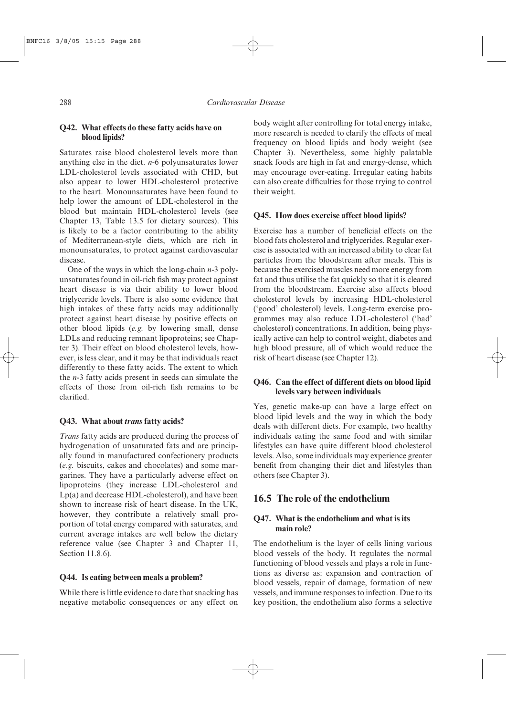# **Q42. What effects do these fatty acids have on blood lipids?**

Saturates raise blood cholesterol levels more than anything else in the diet. *n*-6 polyunsaturates lower LDL-cholesterol levels associated with CHD, but also appear to lower HDL-cholesterol protective to the heart. Monounsaturates have been found to help lower the amount of LDL-cholesterol in the blood but maintain HDL-cholesterol levels (see Chapter 13, Table 13.5 for dietary sources). This is likely to be a factor contributing to the ability of Mediterranean-style diets, which are rich in monounsaturates, to protect against cardiovascular disease.

One of the ways in which the long-chain *n*-3 polyunsaturates found in oil-rich fish may protect against heart disease is via their ability to lower blood triglyceride levels. There is also some evidence that high intakes of these fatty acids may additionally protect against heart disease by positive effects on other blood lipids (*e.g.* by lowering small, dense LDLs and reducing remnant lipoproteins; see Chapter 3). Their effect on blood cholesterol levels, however, is less clear, and it may be that individuals react differently to these fatty acids. The extent to which the *n*-3 fatty acids present in seeds can simulate the effects of those from oil-rich fish remains to be clarified.

#### **Q43. What about** *trans* **fatty acids?**

*Trans* fatty acids are produced during the process of hydrogenation of unsaturated fats and are principally found in manufactured confectionery products (*e.g.* biscuits, cakes and chocolates) and some margarines. They have a particularly adverse effect on lipoproteins (they increase LDL-cholesterol and Lp(a) and decrease HDL-cholesterol), and have been shown to increase risk of heart disease. In the UK, however, they contribute a relatively small proportion of total energy compared with saturates, and current average intakes are well below the dietary reference value (see Chapter 3 and Chapter 11, Section 11.8.6).

#### **Q44. Is eating between meals a problem?**

While there is little evidence to date that snacking has negative metabolic consequences or any effect on

body weight after controlling for total energy intake, more research is needed to clarify the effects of meal frequency on blood lipids and body weight (see Chapter 3). Nevertheless, some highly palatable snack foods are high in fat and energy-dense, which may encourage over-eating. Irregular eating habits can also create difficulties for those trying to control their weight.

#### **Q45. How does exercise affect blood lipids?**

Exercise has a number of beneficial effects on the blood fats cholesterol and triglycerides. Regular exercise is associated with an increased ability to clear fat particles from the bloodstream after meals. This is because the exercised muscles need more energy from fat and thus utilise the fat quickly so that it is cleared from the bloodstream. Exercise also affects blood cholesterol levels by increasing HDL-cholesterol ('good' cholesterol) levels. Long-term exercise programmes may also reduce LDL-cholesterol ('bad' cholesterol) concentrations. In addition, being physically active can help to control weight, diabetes and high blood pressure, all of which would reduce the risk of heart disease (see Chapter 12).

#### **Q46. Can the effect of different diets on blood lipid levels vary between individuals**

Yes, genetic make-up can have a large effect on blood lipid levels and the way in which the body deals with different diets. For example, two healthy individuals eating the same food and with similar lifestyles can have quite different blood cholesterol levels. Also, some individuals may experience greater benefit from changing their diet and lifestyles than others (see Chapter 3).

# **16.5 The role of the endothelium**

#### **Q47. What is the endothelium and what is its main role?**

The endothelium is the layer of cells lining various blood vessels of the body. It regulates the normal functioning of blood vessels and plays a role in functions as diverse as: expansion and contraction of blood vessels, repair of damage, formation of new vessels, and immune responses to infection. Due to its key position, the endothelium also forms a selective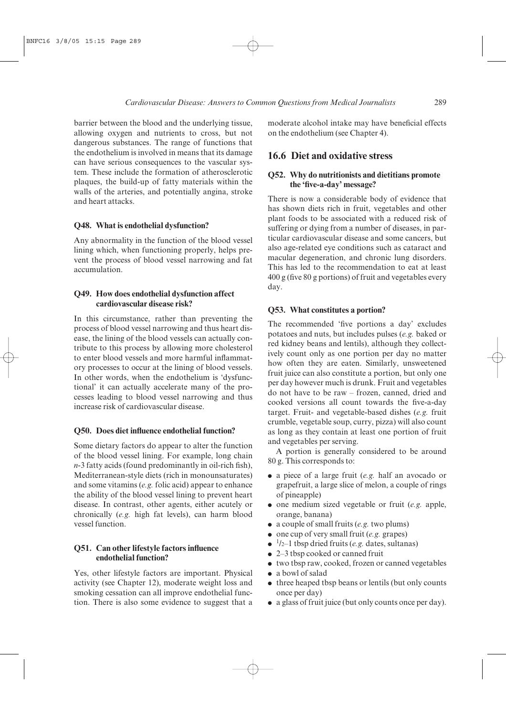barrier between the blood and the underlying tissue, allowing oxygen and nutrients to cross, but not dangerous substances. The range of functions that the endothelium is involved in means that its damage can have serious consequences to the vascular system. These include the formation of atherosclerotic plaques, the build-up of fatty materials within the walls of the arteries, and potentially angina, stroke and heart attacks.

#### **Q48. What is endothelial dysfunction?**

Any abnormality in the function of the blood vessel lining which, when functioning properly, helps prevent the process of blood vessel narrowing and fat accumulation.

#### **Q49. How does endothelial dysfunction affect cardiovascular disease risk?**

In this circumstance, rather than preventing the process of blood vessel narrowing and thus heart disease, the lining of the blood vessels can actually contribute to this process by allowing more cholesterol to enter blood vessels and more harmful inflammatory processes to occur at the lining of blood vessels. In other words, when the endothelium is 'dysfunctional' it can actually accelerate many of the processes leading to blood vessel narrowing and thus increase risk of cardiovascular disease.

#### **Q50. Does diet influence endothelial function?**

Some dietary factors do appear to alter the function of the blood vessel lining. For example, long chain *n*-3 fatty acids (found predominantly in oil-rich fish), Mediterranean-style diets (rich in monounsaturates) and some vitamins (*e.g.* folic acid) appear to enhance the ability of the blood vessel lining to prevent heart disease. In contrast, other agents, either acutely or chronically (*e.g.* high fat levels), can harm blood vessel function.

#### **Q51. Can other lifestyle factors influence endothelial function?**

Yes, other lifestyle factors are important. Physical activity (see Chapter 12), moderate weight loss and smoking cessation can all improve endothelial function. There is also some evidence to suggest that a moderate alcohol intake may have beneficial effects on the endothelium (see Chapter 4).

# **16.6 Diet and oxidative stress**

# **Q52. Why do nutritionists and dietitians promote the 'five-a-day' message?**

There is now a considerable body of evidence that has shown diets rich in fruit, vegetables and other plant foods to be associated with a reduced risk of suffering or dying from a number of diseases, in particular cardiovascular disease and some cancers, but also age-related eye conditions such as cataract and macular degeneration, and chronic lung disorders. This has led to the recommendation to eat at least 400 g (five 80 g portions) of fruit and vegetables every day.

#### **Q53. What constitutes a portion?**

The recommended 'five portions a day' excludes potatoes and nuts, but includes pulses (*e.g.* baked or red kidney beans and lentils), although they collectively count only as one portion per day no matter how often they are eaten. Similarly, unsweetened fruit juice can also constitute a portion, but only one per day however much is drunk. Fruit and vegetables do not have to be raw – frozen, canned, dried and cooked versions all count towards the five-a-day target. Fruit- and vegetable-based dishes (*e.g.* fruit crumble, vegetable soup, curry, pizza) will also count as long as they contain at least one portion of fruit and vegetables per serving.

A portion is generally considered to be around 80 g. This corresponds to:

- <sup>l</sup> a piece of a large fruit (*e.g.* half an avocado or grapefruit, a large slice of melon, a couple of rings of pineapple)
- one medium sized vegetable or fruit (*e.g.* apple, orange, banana)
- a couple of small fruits (*e.g.* two plums)
- $\bullet$  one cup of very small fruit (*e.g.* grapes)
- $\bullet$  <sup>1</sup>/2–1 tbsp dried fruits (*e.g.* dates, sultanas)
- $\bullet$  2–3 tbsp cooked or canned fruit
- $\bullet$  two tbsp raw, cooked, frozen or canned vegetables
- $\bullet$  a bowl of salad
- three heaped tbsp beans or lentils (but only counts once per day)
- $\bullet$  a glass of fruit juice (but only counts once per day).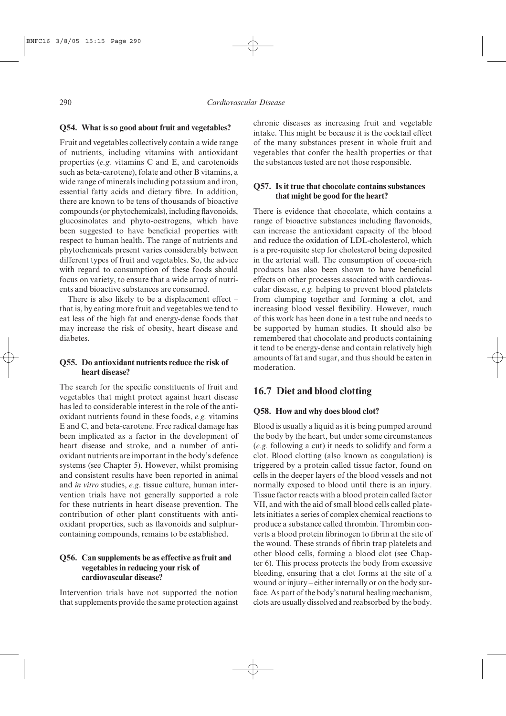#### **Q54. What is so good about fruit and vegetables?**

Fruit and vegetables collectively contain a wide range of nutrients, including vitamins with antioxidant properties (*e.g.* vitamins C and E, and carotenoids such as beta-carotene), folate and other B vitamins, a wide range of minerals including potassium and iron, essential fatty acids and dietary fibre. In addition, there are known to be tens of thousands of bioactive compounds (or phytochemicals), including flavonoids, glucosinolates and phyto-oestrogens, which have been suggested to have beneficial properties with respect to human health. The range of nutrients and phytochemicals present varies considerably between different types of fruit and vegetables. So, the advice with regard to consumption of these foods should focus on variety, to ensure that a wide array of nutrients and bioactive substances are consumed.

There is also likely to be a displacement effect – that is, by eating more fruit and vegetables we tend to eat less of the high fat and energy-dense foods that may increase the risk of obesity, heart disease and diabetes.

# **Q55. Do antioxidant nutrients reduce the risk of heart disease?**

The search for the specific constituents of fruit and vegetables that might protect against heart disease has led to considerable interest in the role of the antioxidant nutrients found in these foods, *e.g.* vitamins E and C, and beta-carotene. Free radical damage has been implicated as a factor in the development of heart disease and stroke, and a number of antioxidant nutrients are important in the body's defence systems (see Chapter 5). However, whilst promising and consistent results have been reported in animal and *in vitro* studies, *e.g*. tissue culture, human intervention trials have not generally supported a role for these nutrients in heart disease prevention. The contribution of other plant constituents with antioxidant properties, such as flavonoids and sulphurcontaining compounds, remains to be established.

# **Q56. Can supplements be as effective as fruit and vegetables in reducing your risk of cardiovascular disease?**

Intervention trials have not supported the notion that supplements provide the same protection against chronic diseases as increasing fruit and vegetable intake. This might be because it is the cocktail effect of the many substances present in whole fruit and vegetables that confer the health properties or that the substances tested are not those responsible.

# **Q57. Is it true that chocolate contains substances that might be good for the heart?**

There is evidence that chocolate, which contains a range of bioactive substances including flavonoids, can increase the antioxidant capacity of the blood and reduce the oxidation of LDL-cholesterol, which is a pre-requisite step for cholesterol being deposited in the arterial wall. The consumption of cocoa-rich products has also been shown to have beneficial effects on other processes associated with cardiovascular disease, *e.g.* helping to prevent blood platelets from clumping together and forming a clot, and increasing blood vessel flexibility. However, much of this work has been done in a test tube and needs to be supported by human studies. It should also be remembered that chocolate and products containing it tend to be energy-dense and contain relatively high amounts of fat and sugar, and thus should be eaten in moderation.

# **16.7 Diet and blood clotting**

## **Q58. How and why does blood clot?**

Blood is usually a liquid as it is being pumped around the body by the heart, but under some circumstances (*e.g.* following a cut) it needs to solidify and form a clot. Blood clotting (also known as coagulation) is triggered by a protein called tissue factor, found on cells in the deeper layers of the blood vessels and not normally exposed to blood until there is an injury. Tissue factor reacts with a blood protein called factor VII, and with the aid of small blood cells called platelets initiates a series of complex chemical reactions to produce a substance called thrombin. Thrombin converts a blood protein fibrinogen to fibrin at the site of the wound. These strands of fibrin trap platelets and other blood cells, forming a blood clot (see Chapter 6). This process protects the body from excessive bleeding, ensuring that a clot forms at the site of a wound or injury – either internally or on the body surface. As part of the body's natural healing mechanism, clots are usually dissolved and reabsorbed by the body.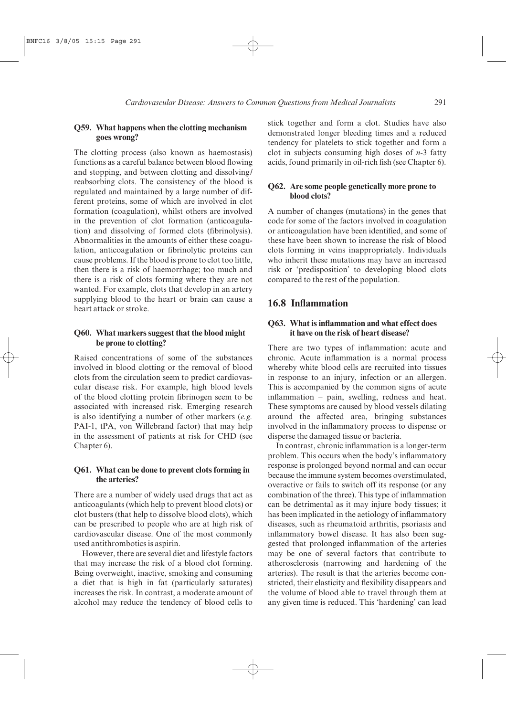# **Q59. What happens when the clotting mechanism goes wrong?**

The clotting process (also known as haemostasis) functions as a careful balance between blood flowing and stopping, and between clotting and dissolving/ reabsorbing clots. The consistency of the blood is regulated and maintained by a large number of different proteins, some of which are involved in clot formation (coagulation), whilst others are involved in the prevention of clot formation (anticoagulation) and dissolving of formed clots (fibrinolysis). Abnormalities in the amounts of either these coagulation, anticoagulation or fibrinolytic proteins can cause problems. If the blood is prone to clot too little, then there is a risk of haemorrhage; too much and there is a risk of clots forming where they are not wanted. For example, clots that develop in an artery supplying blood to the heart or brain can cause a heart attack or stroke.

# **Q60. What markers suggest that the blood might be prone to clotting?**

Raised concentrations of some of the substances involved in blood clotting or the removal of blood clots from the circulation seem to predict cardiovascular disease risk. For example, high blood levels of the blood clotting protein fibrinogen seem to be associated with increased risk. Emerging research is also identifying a number of other markers (*e.g.* PAI-1, tPA, von Willebrand factor) that may help in the assessment of patients at risk for CHD (see Chapter 6).

#### **Q61. What can be done to prevent clots forming in the arteries?**

There are a number of widely used drugs that act as anticoagulants (which help to prevent blood clots) or clot busters (that help to dissolve blood clots), which can be prescribed to people who are at high risk of cardiovascular disease. One of the most commonly used antithrombotics is aspirin.

However, there are several diet and lifestyle factors that may increase the risk of a blood clot forming. Being overweight, inactive, smoking and consuming a diet that is high in fat (particularly saturates) increases the risk. In contrast, a moderate amount of alcohol may reduce the tendency of blood cells to

stick together and form a clot. Studies have also demonstrated longer bleeding times and a reduced tendency for platelets to stick together and form a clot in subjects consuming high doses of *n*-3 fatty acids, found primarily in oil-rich fish (see Chapter 6).

# **Q62. Are some people genetically more prone to blood clots?**

A number of changes (mutations) in the genes that code for some of the factors involved in coagulation or anticoagulation have been identified, and some of these have been shown to increase the risk of blood clots forming in veins inappropriately. Individuals who inherit these mutations may have an increased risk or 'predisposition' to developing blood clots compared to the rest of the population.

# **16.8 Inflammation**

## **Q63. What is inflammation and what effect does it have on the risk of heart disease?**

There are two types of inflammation: acute and chronic. Acute inflammation is a normal process whereby white blood cells are recruited into tissues in response to an injury, infection or an allergen. This is accompanied by the common signs of acute inflammation – pain, swelling, redness and heat. These symptoms are caused by blood vessels dilating around the affected area, bringing substances involved in the inflammatory process to dispense or disperse the damaged tissue or bacteria.

In contrast, chronic inflammation is a longer-term problem. This occurs when the body's inflammatory response is prolonged beyond normal and can occur because the immune system becomes overstimulated, overactive or fails to switch off its response (or any combination of the three). This type of inflammation can be detrimental as it may injure body tissues; it has been implicated in the aetiology of inflammatory diseases, such as rheumatoid arthritis, psoriasis and inflammatory bowel disease. It has also been suggested that prolonged inflammation of the arteries may be one of several factors that contribute to atherosclerosis (narrowing and hardening of the arteries). The result is that the arteries become constricted, their elasticity and flexibility disappears and the volume of blood able to travel through them at any given time is reduced. This 'hardening' can lead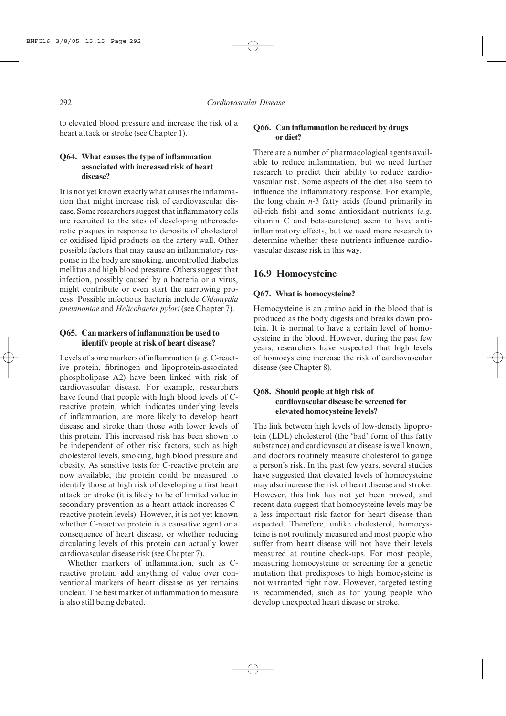to elevated blood pressure and increase the risk of a heart attack or stroke (see Chapter 1).

# **Q64. What causes the type of inflammation associated with increased risk of heart disease?**

It is not yet known exactly what causes the inflammation that might increase risk of cardiovascular disease. Some researchers suggest that inflammatory cells are recruited to the sites of developing atherosclerotic plaques in response to deposits of cholesterol or oxidised lipid products on the artery wall. Other possible factors that may cause an inflammatory response in the body are smoking, uncontrolled diabetes mellitus and high blood pressure. Others suggest that infection, possibly caused by a bacteria or a virus, might contribute or even start the narrowing process. Possible infectious bacteria include *Chlamydia pneumoniae* and *Helicobacter pylori* (see Chapter 7).

# **Q65. Can markers of inflammation be used to identify people at risk of heart disease?**

Levels of some markers of inflammation (*e.g.* C-reactive protein, fibrinogen and lipoprotein-associated phospholipase A2) have been linked with risk of cardiovascular disease. For example, researchers have found that people with high blood levels of Creactive protein, which indicates underlying levels of inflammation, are more likely to develop heart disease and stroke than those with lower levels of this protein. This increased risk has been shown to be independent of other risk factors, such as high cholesterol levels, smoking, high blood pressure and obesity. As sensitive tests for C-reactive protein are now available, the protein could be measured to identify those at high risk of developing a first heart attack or stroke (it is likely to be of limited value in secondary prevention as a heart attack increases Creactive protein levels). However, it is not yet known whether C-reactive protein is a causative agent or a consequence of heart disease, or whether reducing circulating levels of this protein can actually lower cardiovascular disease risk (see Chapter 7).

Whether markers of inflammation, such as Creactive protein, add anything of value over conventional markers of heart disease as yet remains unclear. The best marker of inflammation to measure is also still being debated.

# **Q66. Can inflammation be reduced by drugs or diet?**

There are a number of pharmacological agents available to reduce inflammation, but we need further research to predict their ability to reduce cardiovascular risk. Some aspects of the diet also seem to influence the inflammatory response. For example, the long chain *n*-3 fatty acids (found primarily in oil-rich fish) and some antioxidant nutrients (*e.g.* vitamin C and beta-carotene) seem to have antiinflammatory effects, but we need more research to determine whether these nutrients influence cardiovascular disease risk in this way.

# **16.9 Homocysteine**

#### **Q67. What is homocysteine?**

Homocysteine is an amino acid in the blood that is produced as the body digests and breaks down protein. It is normal to have a certain level of homocysteine in the blood. However, during the past few years, researchers have suspected that high levels of homocysteine increase the risk of cardiovascular disease (see Chapter 8).

# **Q68. Should people at high risk of cardiovascular disease be screened for elevated homocysteine levels?**

The link between high levels of low-density lipoprotein (LDL) cholesterol (the 'bad' form of this fatty substance) and cardiovascular disease is well known, and doctors routinely measure cholesterol to gauge a person's risk. In the past few years, several studies have suggested that elevated levels of homocysteine may also increase the risk of heart disease and stroke. However, this link has not yet been proved, and recent data suggest that homocysteine levels may be a less important risk factor for heart disease than expected. Therefore, unlike cholesterol, homocysteine is not routinely measured and most people who suffer from heart disease will not have their levels measured at routine check-ups. For most people, measuring homocysteine or screening for a genetic mutation that predisposes to high homocysteine is not warranted right now. However, targeted testing is recommended, such as for young people who develop unexpected heart disease or stroke.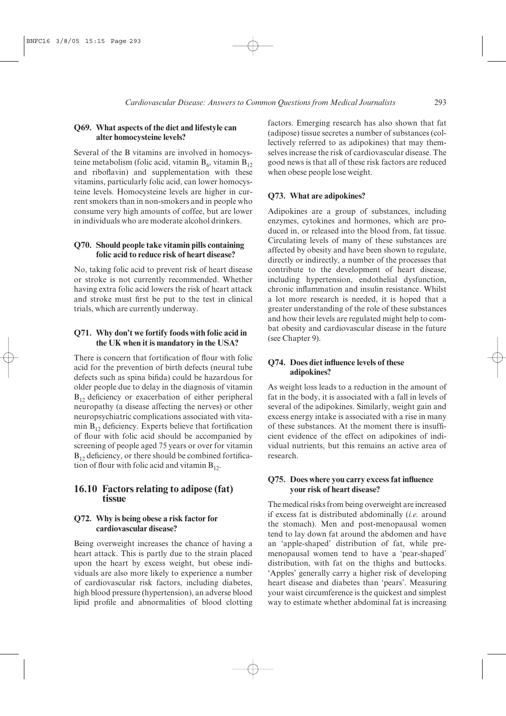# **Q69. What aspects of the diet and lifestyle can alter homocysteine levels?**

Several of the B vitamins are involved in homocysteine metabolism (folic acid, vitamin  $B_6$ , vitamin  $B_{12}$ and riboflavin) and supplementation with these vitamins, particularly folic acid, can lower homocysteine levels. Homocysteine levels are higher in current smokers than in non-smokers and in people who consume very high amounts of coffee, but are lower in individuals who are moderate alcohol drinkers.

#### **Q70. Should people take vitamin pills containing folic acid to reduce risk of heart disease?**

No, taking folic acid to prevent risk of heart disease or stroke is not currently recommended. Whether having extra folic acid lowers the risk of heart attack and stroke must first be put to the test in clinical trials, which are currently underway.

## **Q71. Why don't we fortify foods with folic acid in the UK when it is mandatory in the USA?**

There is concern that fortification of flour with folic acid for the prevention of birth defects (neural tube defects such as spina bifida) could be hazardous for older people due to delay in the diagnosis of vitamin  $B_{12}$  deficiency or exacerbation of either peripheral neuropathy (a disease affecting the nerves) or other neuropsychiatric complications associated with vitamin  $B_{12}$  deficiency. Experts believe that fortification of flour with folic acid should be accompanied by screening of people aged 75 years or over for vitamin  $B_{12}$  deficiency, or there should be combined fortification of flour with folic acid and vitamin  $B_{12}$ .

# **16.10 Factors relating to adipose (fat) tissue**

#### **Q72. Why is being obese a risk factor for cardiovascular disease?**

Being overweight increases the chance of having a heart attack. This is partly due to the strain placed upon the heart by excess weight, but obese individuals are also more likely to experience a number of cardiovascular risk factors, including diabetes, high blood pressure (hypertension), an adverse blood lipid profile and abnormalities of blood clotting factors. Emerging research has also shown that fat (adipose) tissue secretes a number of substances (collectively referred to as adipokines) that may themselves increase the risk of cardiovascular disease. The good news is that all of these risk factors are reduced when obese people lose weight.

#### **Q73. What are adipokines?**

Adipokines are a group of substances, including enzymes, cytokines and hormones, which are produced in, or released into the blood from, fat tissue. Circulating levels of many of these substances are affected by obesity and have been shown to regulate, directly or indirectly, a number of the processes that contribute to the development of heart disease, including hypertension, endothelial dysfunction, chronic inflammation and insulin resistance. Whilst a lot more research is needed, it is hoped that a greater understanding of the role of these substances and how their levels are regulated might help to combat obesity and cardiovascular disease in the future (see Chapter 9).

# **Q74. Does diet influence levels of these adipokines?**

As weight loss leads to a reduction in the amount of fat in the body, it is associated with a fall in levels of several of the adipokines. Similarly, weight gain and excess energy intake is associated with a rise in many of these substances. At the moment there is insufficient evidence of the effect on adipokines of individual nutrients, but this remains an active area of research.

# **Q75. Does where you carry excess fat influence your risk of heart disease?**

The medical risks from being overweight are increased if excess fat is distributed abdominally (*i.e.* around the stomach). Men and post-menopausal women tend to lay down fat around the abdomen and have an 'apple-shaped' distribution of fat, while premenopausal women tend to have a 'pear-shaped' distribution, with fat on the thighs and buttocks. 'Apples' generally carry a higher risk of developing heart disease and diabetes than 'pears'. Measuring your waist circumference is the quickest and simplest way to estimate whether abdominal fat is increasing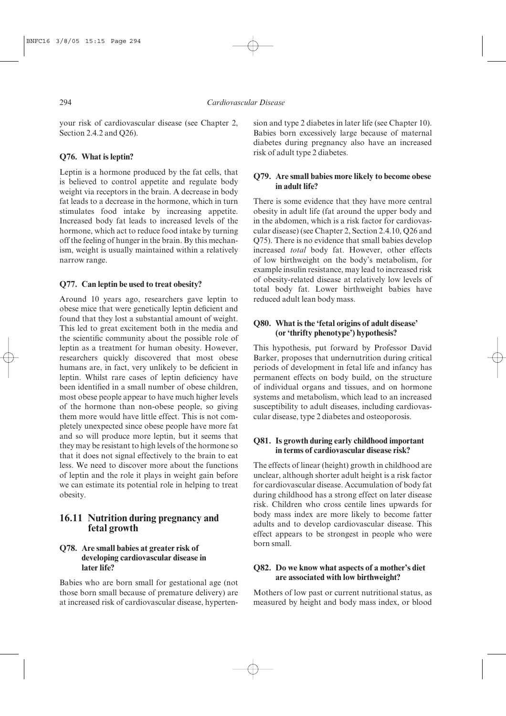your risk of cardiovascular disease (see Chapter 2, Section 2.4.2 and Q26).

# **Q76. What is leptin?**

Leptin is a hormone produced by the fat cells, that is believed to control appetite and regulate body weight via receptors in the brain. A decrease in body fat leads to a decrease in the hormone, which in turn stimulates food intake by increasing appetite. Increased body fat leads to increased levels of the hormone, which act to reduce food intake by turning off the feeling of hunger in the brain. By this mechanism, weight is usually maintained within a relatively narrow range.

# **Q77. Can leptin be used to treat obesity?**

Around 10 years ago, researchers gave leptin to obese mice that were genetically leptin deficient and found that they lost a substantial amount of weight. This led to great excitement both in the media and the scientific community about the possible role of leptin as a treatment for human obesity. However, researchers quickly discovered that most obese humans are, in fact, very unlikely to be deficient in leptin. Whilst rare cases of leptin deficiency have been identified in a small number of obese children, most obese people appear to have much higher levels of the hormone than non-obese people, so giving them more would have little effect. This is not completely unexpected since obese people have more fat and so will produce more leptin, but it seems that they may be resistant to high levels of the hormone so that it does not signal effectively to the brain to eat less. We need to discover more about the functions of leptin and the role it plays in weight gain before we can estimate its potential role in helping to treat obesity.

# **16.11 Nutrition during pregnancy and fetal growth**

## **Q78. Are small babies at greater risk of developing cardiovascular disease in later life?**

Babies who are born small for gestational age (not those born small because of premature delivery) are at increased risk of cardiovascular disease, hypertension and type 2 diabetes in later life (see Chapter 10). Babies born excessively large because of maternal diabetes during pregnancy also have an increased risk of adult type 2 diabetes.

## **Q79. Are small babies more likely to become obese in adult life?**

There is some evidence that they have more central obesity in adult life (fat around the upper body and in the abdomen, which is a risk factor for cardiovascular disease) (see Chapter 2, Section 2.4.10, Q26 and Q75). There is no evidence that small babies develop increased *total* body fat. However, other effects of low birthweight on the body's metabolism, for example insulin resistance, may lead to increased risk of obesity-related disease at relatively low levels of total body fat. Lower birthweight babies have reduced adult lean body mass.

# **Q80. What is the 'fetal origins of adult disease' (or 'thrifty phenotype') hypothesis?**

This hypothesis, put forward by Professor David Barker, proposes that undernutrition during critical periods of development in fetal life and infancy has permanent effects on body build, on the structure of individual organs and tissues, and on hormone systems and metabolism, which lead to an increased susceptibility to adult diseases, including cardiovascular disease, type 2 diabetes and osteoporosis.

## **Q81. Is growth during early childhood important in terms of cardiovascular disease risk?**

The effects of linear (height) growth in childhood are unclear, although shorter adult height is a risk factor for cardiovascular disease. Accumulation of body fat during childhood has a strong effect on later disease risk. Children who cross centile lines upwards for body mass index are more likely to become fatter adults and to develop cardiovascular disease. This effect appears to be strongest in people who were born small.

# **Q82. Do we know what aspects of a mother's diet are associated with low birthweight?**

Mothers of low past or current nutritional status, as measured by height and body mass index, or blood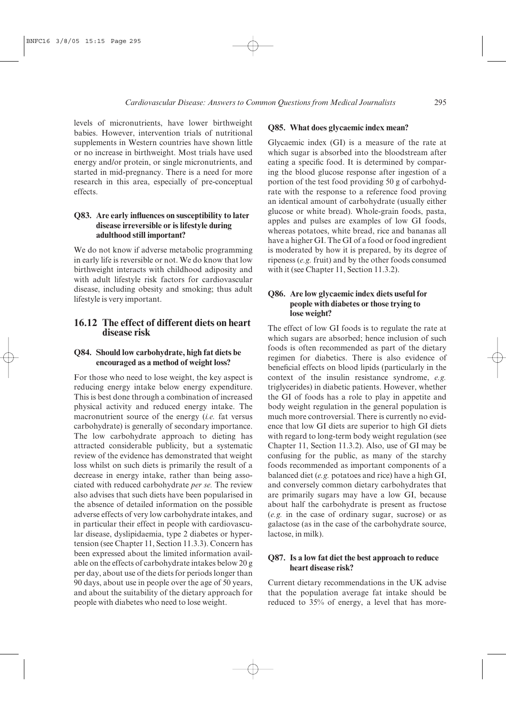levels of micronutrients, have lower birthweight babies. However, intervention trials of nutritional supplements in Western countries have shown little or no increase in birthweight. Most trials have used energy and/or protein, or single micronutrients, and started in mid-pregnancy. There is a need for more research in this area, especially of pre-conceptual effects.

# **Q83. Are early influences on susceptibility to later disease irreversible or is lifestyle during adulthood still important?**

We do not know if adverse metabolic programming in early life is reversible or not. We do know that low birthweight interacts with childhood adiposity and with adult lifestyle risk factors for cardiovascular disease, including obesity and smoking; thus adult lifestyle is very important.

# **16.12 The effect of different diets on heart disease risk**

#### **Q84. Should low carbohydrate, high fat diets be encouraged as a method of weight loss?**

For those who need to lose weight, the key aspect is reducing energy intake below energy expenditure. This is best done through a combination of increased physical activity and reduced energy intake. The macronutrient source of the energy (*i.e.* fat versus carbohydrate) is generally of secondary importance. The low carbohydrate approach to dieting has attracted considerable publicity, but a systematic review of the evidence has demonstrated that weight loss whilst on such diets is primarily the result of a decrease in energy intake, rather than being associated with reduced carbohydrate *per se.* The review also advises that such diets have been popularised in the absence of detailed information on the possible adverse effects of very low carbohydrate intakes, and in particular their effect in people with cardiovascular disease, dyslipidaemia, type 2 diabetes or hypertension (see Chapter 11, Section 11.3.3). Concern has been expressed about the limited information available on the effects of carbohydrate intakes below 20 g per day, about use of the diets for periods longer than 90 days, about use in people over the age of 50 years, and about the suitability of the dietary approach for people with diabetes who need to lose weight.

#### **Q85. What does glycaemic index mean?**

Glycaemic index (GI) is a measure of the rate at which sugar is absorbed into the bloodstream after eating a specific food. It is determined by comparing the blood glucose response after ingestion of a portion of the test food providing 50 g of carbohydrate with the response to a reference food proving an identical amount of carbohydrate (usually either glucose or white bread). Whole-grain foods, pasta, apples and pulses are examples of low GI foods, whereas potatoes, white bread, rice and bananas all have a higher GI. The GI of a food or food ingredient is moderated by how it is prepared, by its degree of ripeness (*e.g.* fruit) and by the other foods consumed with it (see Chapter 11, Section 11.3.2).

#### **Q86. Are low glycaemic index diets useful for people with diabetes or those trying to lose weight?**

The effect of low GI foods is to regulate the rate at which sugars are absorbed; hence inclusion of such foods is often recommended as part of the dietary regimen for diabetics. There is also evidence of beneficial effects on blood lipids (particularly in the context of the insulin resistance syndrome, *e.g.* triglycerides) in diabetic patients. However, whether the GI of foods has a role to play in appetite and body weight regulation in the general population is much more controversial. There is currently no evidence that low GI diets are superior to high GI diets with regard to long-term body weight regulation (see Chapter 11, Section 11.3.2). Also, use of GI may be confusing for the public, as many of the starchy foods recommended as important components of a balanced diet (*e.g.* potatoes and rice) have a high GI, and conversely common dietary carbohydrates that are primarily sugars may have a low GI, because about half the carbohydrate is present as fructose (*e.g.* in the case of ordinary sugar, sucrose) or as galactose (as in the case of the carbohydrate source, lactose, in milk).

#### **Q87. Is a low fat diet the best approach to reduce heart disease risk?**

Current dietary recommendations in the UK advise that the population average fat intake should be reduced to 35% of energy, a level that has more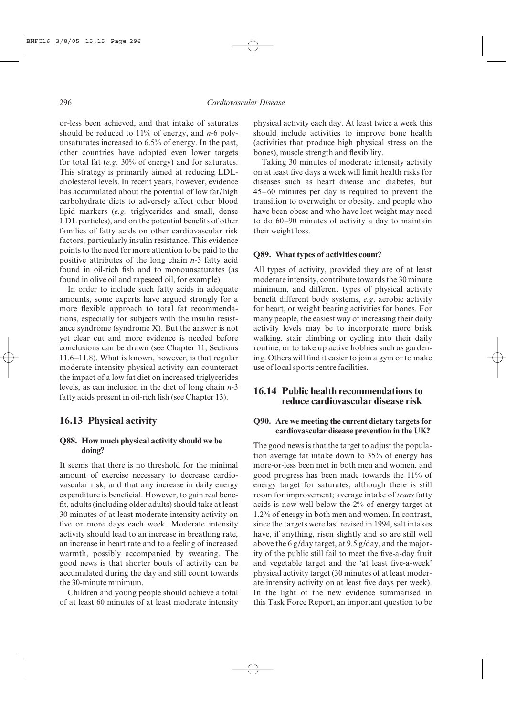or-less been achieved, and that intake of saturates should be reduced to 11% of energy, and *n*-6 polyunsaturates increased to 6.5% of energy. In the past, other countries have adopted even lower targets for total fat (*e.g.* 30% of energy) and for saturates. This strategy is primarily aimed at reducing LDLcholesterol levels. In recent years, however, evidence has accumulated about the potential of low fat/high carbohydrate diets to adversely affect other blood lipid markers (*e.g.* triglycerides and small, dense LDL particles), and on the potential benefits of other families of fatty acids on other cardiovascular risk factors, particularly insulin resistance. This evidence points to the need for more attention to be paid to the positive attributes of the long chain *n*-3 fatty acid found in oil-rich fish and to monounsaturates (as found in olive oil and rapeseed oil, for example).

In order to include such fatty acids in adequate amounts, some experts have argued strongly for a more flexible approach to total fat recommendations, especially for subjects with the insulin resistance syndrome (syndrome X). But the answer is not yet clear cut and more evidence is needed before conclusions can be drawn (see Chapter 11, Sections 11.6–11.8). What is known, however, is that regular moderate intensity physical activity can counteract the impact of a low fat diet on increased triglycerides levels, as can inclusion in the diet of long chain *n*-3 fatty acids present in oil-rich fish (see Chapter 13).

# **16.13 Physical activity**

#### **Q88. How much physical activity should we be doing?**

It seems that there is no threshold for the minimal amount of exercise necessary to decrease cardiovascular risk, and that any increase in daily energy expenditure is beneficial. However, to gain real benefit, adults (including older adults) should take at least 30 minutes of at least moderate intensity activity on five or more days each week. Moderate intensity activity should lead to an increase in breathing rate, an increase in heart rate and to a feeling of increased warmth, possibly accompanied by sweating. The good news is that shorter bouts of activity can be accumulated during the day and still count towards the 30-minute minimum.

Children and young people should achieve a total of at least 60 minutes of at least moderate intensity physical activity each day. At least twice a week this should include activities to improve bone health (activities that produce high physical stress on the bones), muscle strength and flexibility.

Taking 30 minutes of moderate intensity activity on at least five days a week will limit health risks for diseases such as heart disease and diabetes, but 45–60 minutes per day is required to prevent the transition to overweight or obesity, and people who have been obese and who have lost weight may need to do 60–90 minutes of activity a day to maintain their weight loss.

#### **Q89. What types of activities count?**

All types of activity, provided they are of at least moderate intensity, contribute towards the 30 minute minimum, and different types of physical activity benefit different body systems, *e.g*. aerobic activity for heart, or weight bearing activities for bones. For many people, the easiest way of increasing their daily activity levels may be to incorporate more brisk walking, stair climbing or cycling into their daily routine, or to take up active hobbies such as gardening. Others will find it easier to join a gym or to make use of local sports centre facilities.

# **16.14 Public health recommendations to reduce cardiovascular disease risk**

# **Q90. Are we meeting the current dietary targets for cardiovascular disease prevention in the UK?**

The good news is that the target to adjust the population average fat intake down to 35% of energy has more-or-less been met in both men and women, and good progress has been made towards the 11% of energy target for saturates, although there is still room for improvement; average intake of *trans* fatty acids is now well below the 2% of energy target at 1.2% of energy in both men and women. In contrast, since the targets were last revised in 1994, salt intakes have, if anything, risen slightly and so are still well above the 6 g/day target, at 9.5 g/day, and the majority of the public still fail to meet the five-a-day fruit and vegetable target and the 'at least five-a-week' physical activity target (30 minutes of at least moderate intensity activity on at least five days per week). In the light of the new evidence summarised in this Task Force Report, an important question to be